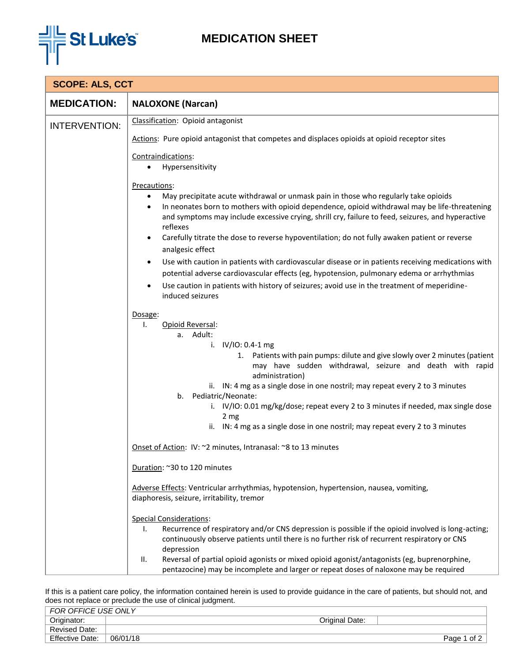

## **MEDICATION SHEET**

| <b>SCOPE: ALS, CCT</b> |                                                                                                                                                                                                                                                                                                                                 |  |  |  |
|------------------------|---------------------------------------------------------------------------------------------------------------------------------------------------------------------------------------------------------------------------------------------------------------------------------------------------------------------------------|--|--|--|
| <b>MEDICATION:</b>     | <b>NALOXONE</b> (Narcan)                                                                                                                                                                                                                                                                                                        |  |  |  |
| <b>INTERVENTION:</b>   | Classification: Opioid antagonist                                                                                                                                                                                                                                                                                               |  |  |  |
|                        | Actions: Pure opioid antagonist that competes and displaces opioids at opioid receptor sites                                                                                                                                                                                                                                    |  |  |  |
|                        | Contraindications:                                                                                                                                                                                                                                                                                                              |  |  |  |
|                        | Hypersensitivity                                                                                                                                                                                                                                                                                                                |  |  |  |
|                        | Precautions:                                                                                                                                                                                                                                                                                                                    |  |  |  |
|                        | May precipitate acute withdrawal or unmask pain in those who regularly take opioids<br>$\bullet$<br>In neonates born to mothers with opioid dependence, opioid withdrawal may be life-threatening<br>$\bullet$<br>and symptoms may include excessive crying, shrill cry, failure to feed, seizures, and hyperactive<br>reflexes |  |  |  |
|                        | Carefully titrate the dose to reverse hypoventilation; do not fully awaken patient or reverse<br>analgesic effect                                                                                                                                                                                                               |  |  |  |
|                        | Use with caution in patients with cardiovascular disease or in patients receiving medications with<br>potential adverse cardiovascular effects (eg, hypotension, pulmonary edema or arrhythmias                                                                                                                                 |  |  |  |
|                        | Use caution in patients with history of seizures; avoid use in the treatment of meperidine-<br>$\bullet$                                                                                                                                                                                                                        |  |  |  |
|                        | induced seizures                                                                                                                                                                                                                                                                                                                |  |  |  |
|                        | Dosage:                                                                                                                                                                                                                                                                                                                         |  |  |  |
|                        | Opioid Reversal:<br>Ι.                                                                                                                                                                                                                                                                                                          |  |  |  |
|                        | a. Adult:<br>i. $IV/IO: 0.4-1 mg$                                                                                                                                                                                                                                                                                               |  |  |  |
|                        | 1. Patients with pain pumps: dilute and give slowly over 2 minutes (patient<br>may have sudden withdrawal, seizure and death with rapid<br>administration)                                                                                                                                                                      |  |  |  |
|                        | ii. IN: 4 mg as a single dose in one nostril; may repeat every 2 to 3 minutes<br>b. Pediatric/Neonate:                                                                                                                                                                                                                          |  |  |  |
|                        | i. IV/IO: 0.01 mg/kg/dose; repeat every 2 to 3 minutes if needed, max single dose<br>2 mg                                                                                                                                                                                                                                       |  |  |  |
|                        | ii. IN: 4 mg as a single dose in one nostril; may repeat every 2 to 3 minutes                                                                                                                                                                                                                                                   |  |  |  |
|                        | Onset of Action: IV: ~2 minutes, Intranasal: ~8 to 13 minutes                                                                                                                                                                                                                                                                   |  |  |  |
|                        | Duration: ~30 to 120 minutes                                                                                                                                                                                                                                                                                                    |  |  |  |
|                        | Adverse Effects: Ventricular arrhythmias, hypotension, hypertension, nausea, vomiting,<br>diaphoresis, seizure, irritability, tremor                                                                                                                                                                                            |  |  |  |
|                        | <b>Special Considerations:</b><br>Recurrence of respiratory and/or CNS depression is possible if the opioid involved is long-acting;<br>ı.<br>continuously observe patients until there is no further risk of recurrent respiratory or CNS<br>depression                                                                        |  |  |  |
|                        | Reversal of partial opioid agonists or mixed opioid agonist/antagonists (eg, buprenorphine,<br>II.<br>pentazocine) may be incomplete and larger or repeat doses of naloxone may be required                                                                                                                                     |  |  |  |

If this is a patient care policy, the information contained herein is used to provide guidance in the care of patients, but should not, and does not replace or preclude the use of clinical judgment.

| Originator:<br>Original Date:      | FOR OFFICE USE ONLY  |  |             |
|------------------------------------|----------------------|--|-------------|
|                                    |                      |  |             |
|                                    | <b>Revised Date:</b> |  |             |
| <b>Effective Date:</b><br>06/01/18 |                      |  | Page 1 of 2 |